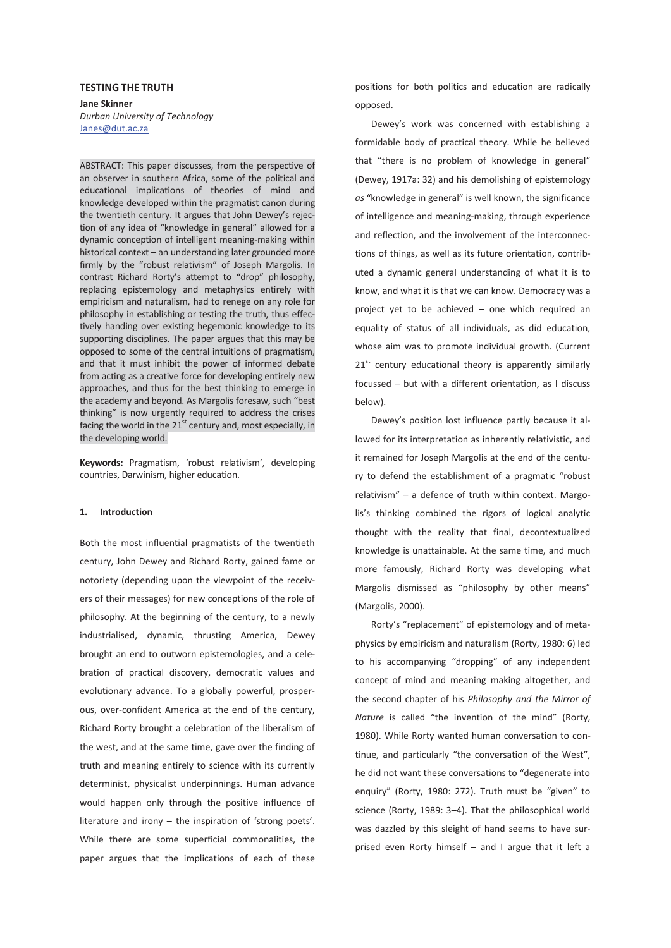#### **TESTING THE TRUTH**

**Jane Skinner**  *Durban University of Technology*  Janes@dut.ac.za

ABSTRACT: This paper discusses, from the perspective of an observer in southern Africa, some of the political and educational implications of theories of mind and knowledge developed within the pragmatist canon during the twentieth century. It argues that John Dewey's rejection of any idea of "knowledge in general" allowed for a dynamic conception of intelligent meaning-making within historical context – an understanding later grounded more firmly by the "robust relativism" of Joseph Margolis. In contrast Richard Rorty's attempt to "drop" philosophy, replacing epistemology and metaphysics entirely with empiricism and naturalism, had to renege on any role for philosophy in establishing or testing the truth, thus effectively handing over existing hegemonic knowledge to its supporting disciplines. The paper argues that this may be opposed to some of the central intuitions of pragmatism, and that it must inhibit the power of informed debate from acting as a creative force for developing entirely new approaches, and thus for the best thinking to emerge in the academy and beyond. As Margolis foresaw, such "best thinking" is now urgently required to address the crises facing the world in the  $21<sup>st</sup>$  century and, most especially, in the developing world.

**Keywords:** Pragmatism, 'robust relativism', developing countries, Darwinism, higher education.

### **1. Introduction**

Both the most influential pragmatists of the twentieth century, John Dewey and Richard Rorty, gained fame or notoriety (depending upon the viewpoint of the receivers of their messages) for new conceptions of the role of philosophy. At the beginning of the century, to a newly industrialised, dynamic, thrusting America, Dewey brought an end to outworn epistemologies, and a celebration of practical discovery, democratic values and evolutionary advance. To a globally powerful, prosperous, over-confident America at the end of the century, Richard Rorty brought a celebration of the liberalism of the west, and at the same time, gave over the finding of truth and meaning entirely to science with its currently determinist, physicalist underpinnings. Human advance would happen only through the positive influence of literature and irony – the inspiration of 'strong poets'. While there are some superficial commonalities, the paper argues that the implications of each of these

positions for both politics and education are radically opposed.

Dewey's work was concerned with establishing a formidable body of practical theory. While he believed that "there is no problem of knowledge in general" (Dewey, 1917a: 32) and his demolishing of epistemology *as* "knowledge in general" is well known, the significance of intelligence and meaning-making, through experience and reflection, and the involvement of the interconnections of things, as well as its future orientation, contributed a dynamic general understanding of what it is to know, and what it is that we can know. Democracy was a project yet to be achieved – one which required an equality of status of all individuals, as did education, whose aim was to promote individual growth. (Current  $21<sup>st</sup>$  century educational theory is apparently similarly focussed – but with a different orientation, as I discuss below).

Dewey's position lost influence partly because it allowed for its interpretation as inherently relativistic, and it remained for Joseph Margolis at the end of the century to defend the establishment of a pragmatic "robust relativism" – a defence of truth within context. Margolis's thinking combined the rigors of logical analytic thought with the reality that final, decontextualized knowledge is unattainable. At the same time, and much more famously, Richard Rorty was developing what Margolis dismissed as "philosophy by other means" (Margolis, 2000).

Rorty's "replacement" of epistemology and of metaphysics by empiricism and naturalism (Rorty, 1980: 6) led to his accompanying "dropping" of any independent concept of mind and meaning making altogether, and the second chapter of his *Philosophy and the Mirror of Nature* is called "the invention of the mind" (Rorty, 1980). While Rorty wanted human conversation to continue, and particularly "the conversation of the West", he did not want these conversations to "degenerate into enquiry" (Rorty, 1980: 272). Truth must be "given" to science (Rorty, 1989: 3–4). That the philosophical world was dazzled by this sleight of hand seems to have surprised even Rorty himself – and I argue that it left a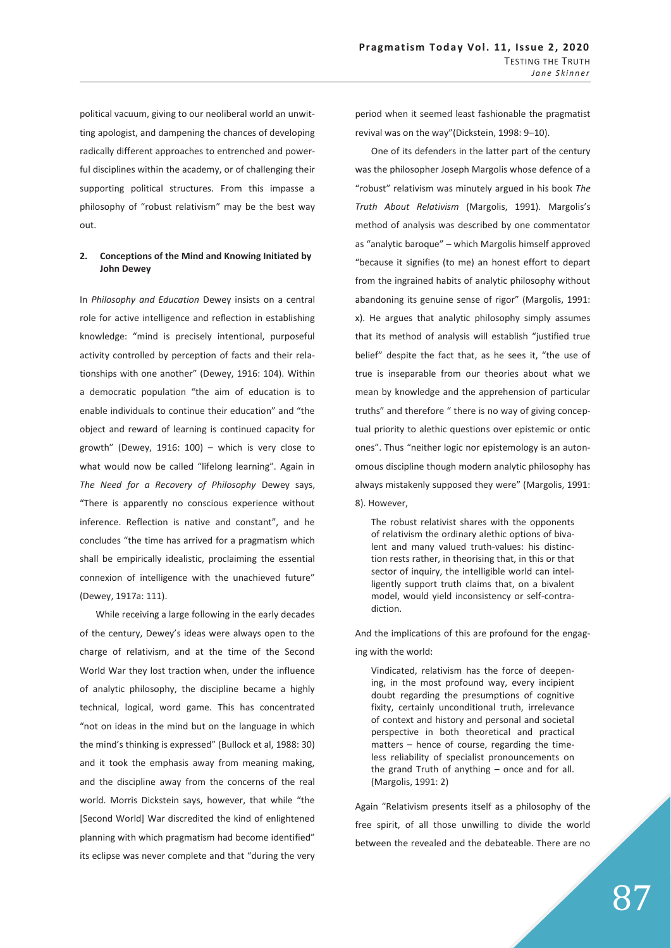political vacuum, giving to our neoliberal world an unwitting apologist, and dampening the chances of developing radically different approaches to entrenched and powerful disciplines within the academy, or of challenging their supporting political structures. From this impasse a philosophy of "robust relativism" may be the best way out.

# **2. Conceptions of the Mind and Knowing Initiated by John Dewey**

In *Philosophy and Education* Dewey insists on a central role for active intelligence and reflection in establishing knowledge: "mind is precisely intentional, purposeful activity controlled by perception of facts and their relationships with one another" (Dewey, 1916: 104). Within a democratic population "the aim of education is to enable individuals to continue their education" and "the object and reward of learning is continued capacity for growth" (Dewey, 1916: 100) – which is very close to what would now be called "lifelong learning". Again in *The Need for a Recovery of Philosophy* Dewey says, "There is apparently no conscious experience without inference. Reflection is native and constant", and he concludes "the time has arrived for a pragmatism which shall be empirically idealistic, proclaiming the essential connexion of intelligence with the unachieved future" (Dewey, 1917a: 111).

While receiving a large following in the early decades of the century, Dewey's ideas were always open to the charge of relativism, and at the time of the Second World War they lost traction when, under the influence of analytic philosophy, the discipline became a highly technical, logical, word game. This has concentrated "not on ideas in the mind but on the language in which the mind's thinking is expressed" (Bullock et al, 1988: 30) and it took the emphasis away from meaning making, and the discipline away from the concerns of the real world. Morris Dickstein says, however, that while "the [Second World] War discredited the kind of enlightened planning with which pragmatism had become identified" its eclipse was never complete and that "during the very

period when it seemed least fashionable the pragmatist revival was on the way"(Dickstein, 1998: 9–10).

One of its defenders in the latter part of the century was the philosopher Joseph Margolis whose defence of a "robust" relativism was minutely argued in his book *The Truth About Relativism* (Margolis, 1991)*.* Margolis's method of analysis was described by one commentator as "analytic baroque" – which Margolis himself approved "because it signifies (to me) an honest effort to depart from the ingrained habits of analytic philosophy without abandoning its genuine sense of rigor" (Margolis, 1991: x). He argues that analytic philosophy simply assumes that its method of analysis will establish "justified true belief" despite the fact that, as he sees it, "the use of true is inseparable from our theories about what we mean by knowledge and the apprehension of particular truths" and therefore " there is no way of giving conceptual priority to alethic questions over epistemic or ontic ones". Thus "neither logic nor epistemology is an autonomous discipline though modern analytic philosophy has always mistakenly supposed they were" (Margolis, 1991: 8). However,

The robust relativist shares with the opponents of relativism the ordinary alethic options of bivalent and many valued truth-values: his distinction rests rather, in theorising that, in this or that sector of inquiry, the intelligible world can intelligently support truth claims that, on a bivalent model, would yield inconsistency or self-contradiction.

And the implications of this are profound for the engaging with the world:

Vindicated, relativism has the force of deepening, in the most profound way, every incipient doubt regarding the presumptions of cognitive fixity, certainly unconditional truth, irrelevance of context and history and personal and societal perspective in both theoretical and practical matters – hence of course, regarding the timeless reliability of specialist pronouncements on the grand Truth of anything – once and for all. (Margolis, 1991: 2)

Again "Relativism presents itself as a philosophy of the free spirit, of all those unwilling to divide the world between the revealed and the debateable. There are no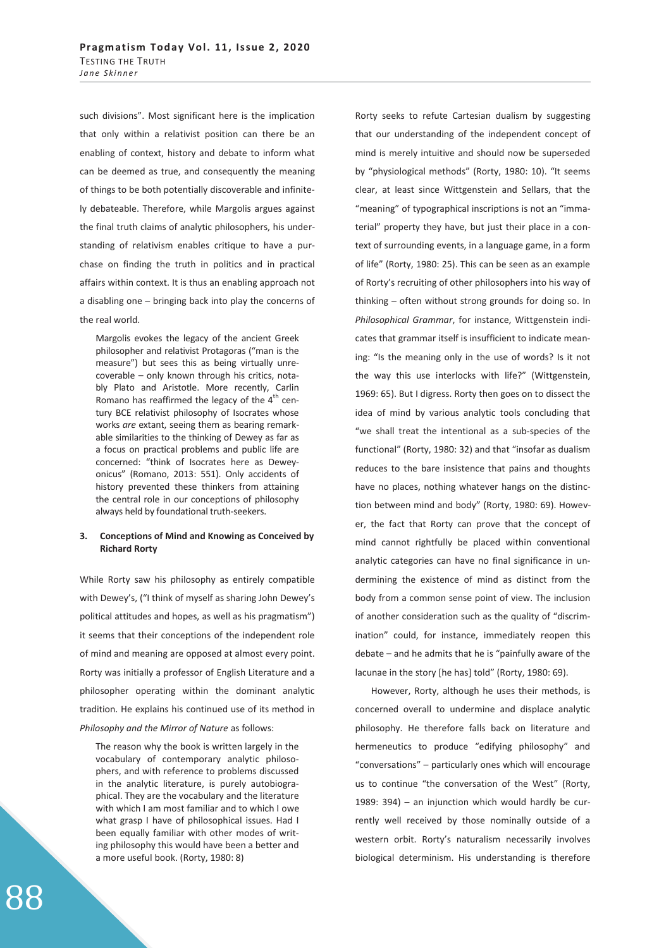such divisions". Most significant here is the implication that only within a relativist position can there be an enabling of context, history and debate to inform what can be deemed as true, and consequently the meaning of things to be both potentially discoverable and infinitely debateable. Therefore, while Margolis argues against the final truth claims of analytic philosophers, his understanding of relativism enables critique to have a purchase on finding the truth in politics and in practical affairs within context. It is thus an enabling approach not a disabling one – bringing back into play the concerns of the real world.

Margolis evokes the legacy of the ancient Greek philosopher and relativist Protagoras ("man is the measure") but sees this as being virtually unrecoverable – only known through his critics, notably Plato and Aristotle. More recently, Carlin Romano has reaffirmed the legacy of the  $4<sup>th</sup>$  century BCE relativist philosophy of Isocrates whose works *are* extant, seeing them as bearing remarkable similarities to the thinking of Dewey as far as a focus on practical problems and public life are concerned: "think of Isocrates here as Deweyonicus" (Romano, 2013: 551). Only accidents of history prevented these thinkers from attaining the central role in our conceptions of philosophy always held by foundational truth-seekers.

### **3. Conceptions of Mind and Knowing as Conceived by Richard Rorty**

While Rorty saw his philosophy as entirely compatible with Dewey's, ("I think of myself as sharing John Dewey's political attitudes and hopes, as well as his pragmatism") it seems that their conceptions of the independent role of mind and meaning are opposed at almost every point. Rorty was initially a professor of English Literature and a philosopher operating within the dominant analytic tradition. He explains his continued use of its method in

*Philosophy and the Mirror of Nature* as follows:

The reason why the book is written largely in the vocabulary of contemporary analytic philosophers, and with reference to problems discussed in the analytic literature, is purely autobiographical. They are the vocabulary and the literature with which I am most familiar and to which I owe what grasp I have of philosophical issues. Had I been equally familiar with other modes of writing philosophy this would have been a better and a more useful book. (Rorty, 1980: 8)

Rorty seeks to refute Cartesian dualism by suggesting that our understanding of the independent concept of mind is merely intuitive and should now be superseded by "physiological methods" (Rorty, 1980: 10). "It seems clear, at least since Wittgenstein and Sellars, that the "meaning" of typographical inscriptions is not an "immaterial" property they have, but just their place in a context of surrounding events, in a language game, in a form of life" (Rorty, 1980: 25). This can be seen as an example of Rorty's recruiting of other philosophers into his way of thinking – often without strong grounds for doing so. In *Philosophical Grammar*, for instance, Wittgenstein indicates that grammar itself is insufficient to indicate meaning: "Is the meaning only in the use of words? Is it not the way this use interlocks with life?" (Wittgenstein, 1969: 65). But I digress. Rorty then goes on to dissect the idea of mind by various analytic tools concluding that "we shall treat the intentional as a sub-species of the functional" (Rorty, 1980: 32) and that "insofar as dualism reduces to the bare insistence that pains and thoughts have no places, nothing whatever hangs on the distinction between mind and body" (Rorty, 1980: 69). However, the fact that Rorty can prove that the concept of mind cannot rightfully be placed within conventional analytic categories can have no final significance in undermining the existence of mind as distinct from the body from a common sense point of view. The inclusion of another consideration such as the quality of "discrimination" could, for instance, immediately reopen this debate – and he admits that he is "painfully aware of the lacunae in the story [he has] told" (Rorty, 1980: 69).

However, Rorty, although he uses their methods, is concerned overall to undermine and displace analytic philosophy. He therefore falls back on literature and hermeneutics to produce "edifying philosophy" and "conversations" – particularly ones which will encourage us to continue "the conversation of the West" (Rorty, 1989: 394) – an injunction which would hardly be currently well received by those nominally outside of a western orbit. Rorty's naturalism necessarily involves biological determinism. His understanding is therefore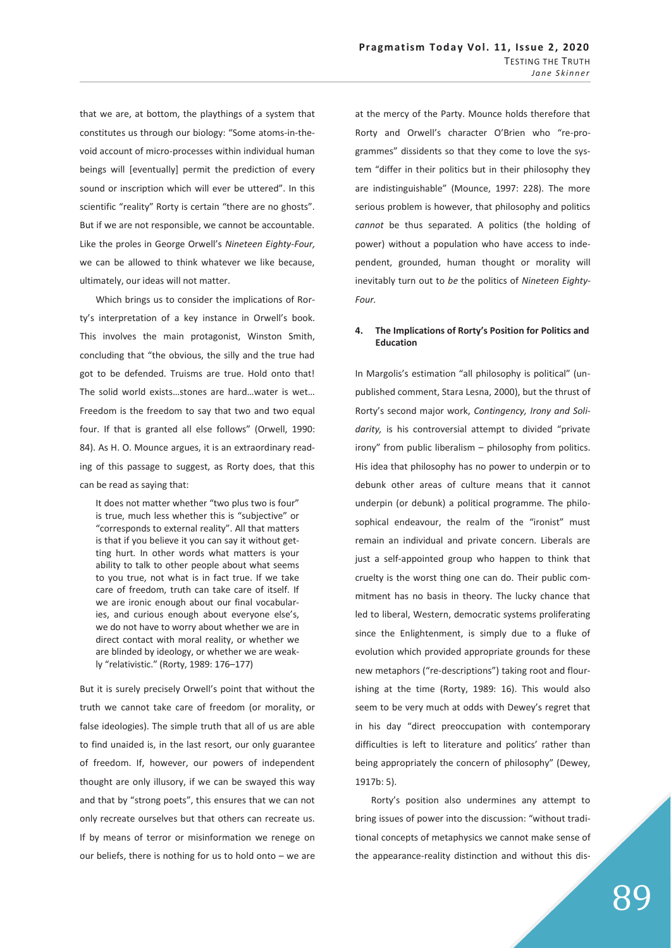that we are, at bottom, the playthings of a system that constitutes us through our biology: "Some atoms-in-thevoid account of micro-processes within individual human beings will [eventually] permit the prediction of every sound or inscription which will ever be uttered". In this scientific "reality" Rorty is certain "there are no ghosts". But if we are not responsible, we cannot be accountable. Like the proles in George Orwell's *Nineteen Eighty-Four,* we can be allowed to think whatever we like because, ultimately, our ideas will not matter.

Which brings us to consider the implications of Rorty's interpretation of a key instance in Orwell's book. This involves the main protagonist, Winston Smith, concluding that "the obvious, the silly and the true had got to be defended. Truisms are true. Hold onto that! The solid world exists…stones are hard…water is wet… Freedom is the freedom to say that two and two equal four. If that is granted all else follows" (Orwell, 1990: 84). As H. O. Mounce argues, it is an extraordinary reading of this passage to suggest, as Rorty does, that this can be read as saying that:

It does not matter whether "two plus two is four" is true, much less whether this is "subjective" or "corresponds to external reality". All that matters is that if you believe it you can say it without getting hurt. In other words what matters is your ability to talk to other people about what seems to you true, not what is in fact true. If we take care of freedom, truth can take care of itself. If we are ironic enough about our final vocabularies, and curious enough about everyone else's, we do not have to worry about whether we are in direct contact with moral reality, or whether we are blinded by ideology, or whether we are weakly "relativistic." (Rorty, 1989: 176–177)

But it is surely precisely Orwell's point that without the truth we cannot take care of freedom (or morality, or false ideologies). The simple truth that all of us are able to find unaided is, in the last resort, our only guarantee of freedom. If, however, our powers of independent thought are only illusory, if we can be swayed this way and that by "strong poets", this ensures that we can not only recreate ourselves but that others can recreate us. If by means of terror or misinformation we renege on our beliefs, there is nothing for us to hold onto – we are

at the mercy of the Party. Mounce holds therefore that Rorty and Orwell's character O'Brien who "re-programmes" dissidents so that they come to love the system "differ in their politics but in their philosophy they are indistinguishable" (Mounce, 1997: 228). The more serious problem is however, that philosophy and politics *cannot* be thus separated. A politics (the holding of power) without a population who have access to independent, grounded, human thought or morality will inevitably turn out to *be* the politics of *Nineteen Eighty-Four.* 

### **4. The Implications of Rorty's Position for Politics and Education**

In Margolis's estimation "all philosophy is political" (unpublished comment, Stara Lesna, 2000), but the thrust of Rorty's second major work, *Contingency, Irony and Solidarity,* is his controversial attempt to divided "private irony" from public liberalism – philosophy from politics. His idea that philosophy has no power to underpin or to debunk other areas of culture means that it cannot underpin (or debunk) a political programme. The philosophical endeavour, the realm of the "ironist" must remain an individual and private concern. Liberals are just a self-appointed group who happen to think that cruelty is the worst thing one can do. Their public commitment has no basis in theory. The lucky chance that led to liberal, Western, democratic systems proliferating since the Enlightenment, is simply due to a fluke of evolution which provided appropriate grounds for these new metaphors ("re-descriptions") taking root and flourishing at the time (Rorty, 1989: 16). This would also seem to be very much at odds with Dewey's regret that in his day "direct preoccupation with contemporary difficulties is left to literature and politics' rather than being appropriately the concern of philosophy" (Dewey, 1917b: 5).

Rorty's position also undermines any attempt to bring issues of power into the discussion: "without traditional concepts of metaphysics we cannot make sense of the appearance-reality distinction and without this dis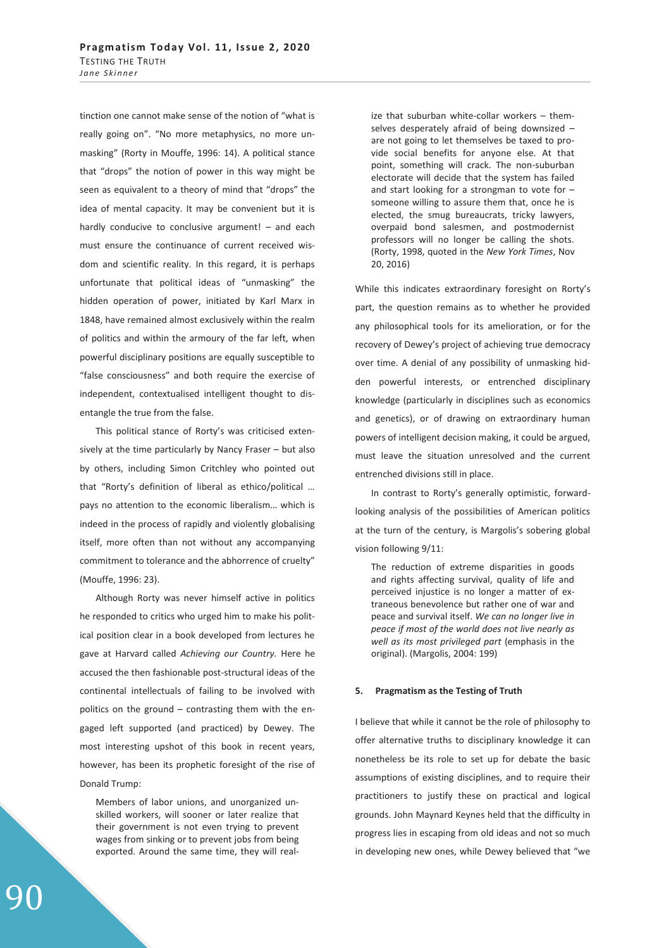tinction one cannot make sense of the notion of "what is really going on". "No more metaphysics, no more unmasking" (Rorty in Mouffe, 1996: 14). A political stance that "drops" the notion of power in this way might be seen as equivalent to a theory of mind that "drops" the idea of mental capacity. It may be convenient but it is hardly conducive to conclusive argument! – and each must ensure the continuance of current received wisdom and scientific reality. In this regard, it is perhaps unfortunate that political ideas of "unmasking" the hidden operation of power, initiated by Karl Marx in 1848, have remained almost exclusively within the realm of politics and within the armoury of the far left, when powerful disciplinary positions are equally susceptible to "false consciousness" and both require the exercise of independent, contextualised intelligent thought to disentangle the true from the false.

This political stance of Rorty's was criticised extensively at the time particularly by Nancy Fraser – but also by others, including Simon Critchley who pointed out that "Rorty's definition of liberal as ethico/political … pays no attention to the economic liberalism… which is indeed in the process of rapidly and violently globalising itself, more often than not without any accompanying commitment to tolerance and the abhorrence of cruelty" (Mouffe, 1996: 23).

Although Rorty was never himself active in politics he responded to critics who urged him to make his political position clear in a book developed from lectures he gave at Harvard called *Achieving our Country.* Here he accused the then fashionable post-structural ideas of the continental intellectuals of failing to be involved with politics on the ground – contrasting them with the engaged left supported (and practiced) by Dewey. The most interesting upshot of this book in recent years, however, has been its prophetic foresight of the rise of Donald Trump:

Members of labor unions, and unorganized unskilled workers, will sooner or later realize that their government is not even trying to prevent wages from sinking or to prevent jobs from being exported. Around the same time, they will realize that suburban white-collar workers – themselves desperately afraid of being downsized – are not going to let themselves be taxed to provide social benefits for anyone else. At that point, something will crack. The non-suburban electorate will decide that the system has failed and start looking for a strongman to vote for – someone willing to assure them that, once he is elected, the smug bureaucrats, tricky lawyers, overpaid bond salesmen, and postmodernist professors will no longer be calling the shots. (Rorty, 1998, quoted in the *New York Times*, Nov 20, 2016)

While this indicates extraordinary foresight on Rorty's part, the question remains as to whether he provided any philosophical tools for its amelioration, or for the recovery of Dewey's project of achieving true democracy over time. A denial of any possibility of unmasking hidden powerful interests, or entrenched disciplinary knowledge (particularly in disciplines such as economics and genetics), or of drawing on extraordinary human powers of intelligent decision making, it could be argued, must leave the situation unresolved and the current entrenched divisions still in place.

In contrast to Rorty's generally optimistic, forwardlooking analysis of the possibilities of American politics at the turn of the century, is Margolis's sobering global vision following 9/11:

The reduction of extreme disparities in goods and rights affecting survival, quality of life and perceived injustice is no longer a matter of extraneous benevolence but rather one of war and peace and survival itself. *We can no longer live in peace if most of the world does not live nearly as well as its most privileged part* (emphasis in the original). (Margolis, 2004: 199)

#### **5. Pragmatism as the Testing of Truth**

I believe that while it cannot be the role of philosophy to offer alternative truths to disciplinary knowledge it can nonetheless be its role to set up for debate the basic assumptions of existing disciplines, and to require their practitioners to justify these on practical and logical grounds. John Maynard Keynes held that the difficulty in progress lies in escaping from old ideas and not so much in developing new ones, while Dewey believed that "we

90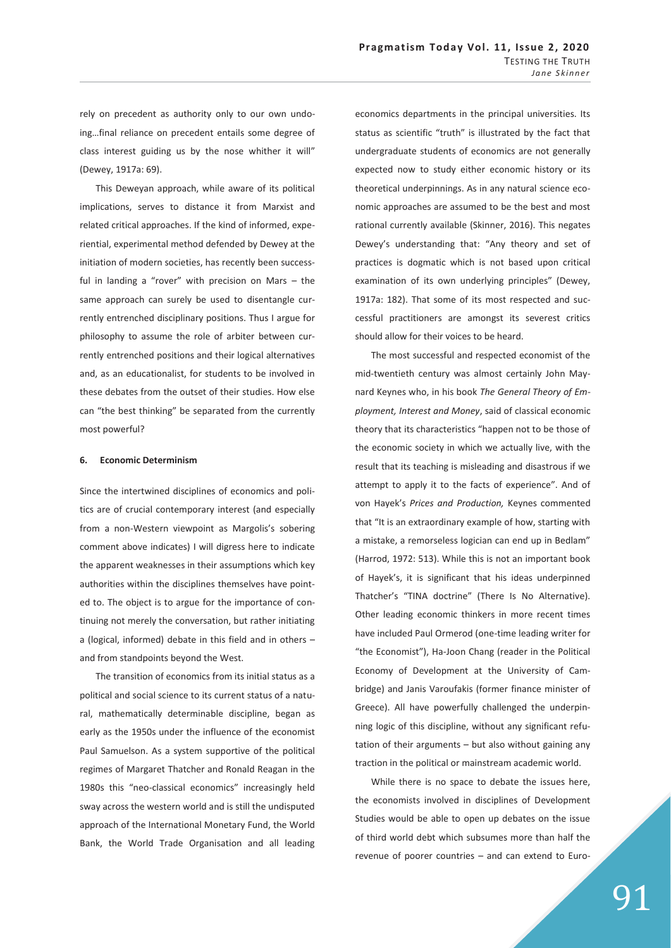rely on precedent as authority only to our own undoing…final reliance on precedent entails some degree of class interest guiding us by the nose whither it will" (Dewey, 1917a: 69).

This Deweyan approach, while aware of its political implications, serves to distance it from Marxist and related critical approaches. If the kind of informed, experiential, experimental method defended by Dewey at the initiation of modern societies, has recently been successful in landing a "rover" with precision on Mars – the same approach can surely be used to disentangle currently entrenched disciplinary positions. Thus I argue for philosophy to assume the role of arbiter between currently entrenched positions and their logical alternatives and, as an educationalist, for students to be involved in these debates from the outset of their studies. How else can "the best thinking" be separated from the currently most powerful?

## **6. Economic Determinism**

Since the intertwined disciplines of economics and politics are of crucial contemporary interest (and especially from a non-Western viewpoint as Margolis's sobering comment above indicates) I will digress here to indicate the apparent weaknesses in their assumptions which key authorities within the disciplines themselves have pointed to. The object is to argue for the importance of continuing not merely the conversation, but rather initiating a (logical, informed) debate in this field and in others – and from standpoints beyond the West.

The transition of economics from its initial status as a political and social science to its current status of a natural, mathematically determinable discipline, began as early as the 1950s under the influence of the economist Paul Samuelson. As a system supportive of the political regimes of Margaret Thatcher and Ronald Reagan in the 1980s this "neo-classical economics" increasingly held sway across the western world and is still the undisputed approach of the International Monetary Fund, the World Bank, the World Trade Organisation and all leading

economics departments in the principal universities. Its status as scientific "truth" is illustrated by the fact that undergraduate students of economics are not generally expected now to study either economic history or its theoretical underpinnings. As in any natural science economic approaches are assumed to be the best and most rational currently available (Skinner, 2016). This negates Dewey's understanding that: "Any theory and set of practices is dogmatic which is not based upon critical examination of its own underlying principles" (Dewey, 1917a: 182). That some of its most respected and successful practitioners are amongst its severest critics should allow for their voices to be heard.

The most successful and respected economist of the mid-twentieth century was almost certainly John Maynard Keynes who, in his book *The General Theory of Employment, Interest and Money*, said of classical economic theory that its characteristics "happen not to be those of the economic society in which we actually live, with the result that its teaching is misleading and disastrous if we attempt to apply it to the facts of experience". And of von Hayek's *Prices and Production,* Keynes commented that "It is an extraordinary example of how, starting with a mistake, a remorseless logician can end up in Bedlam" (Harrod, 1972: 513). While this is not an important book of Hayek's, it is significant that his ideas underpinned Thatcher's "TINA doctrine" (There Is No Alternative). Other leading economic thinkers in more recent times have included Paul Ormerod (one-time leading writer for "the Economist"), Ha-Joon Chang (reader in the Political Economy of Development at the University of Cambridge) and Janis Varoufakis (former finance minister of Greece). All have powerfully challenged the underpinning logic of this discipline, without any significant refutation of their arguments – but also without gaining any traction in the political or mainstream academic world.

While there is no space to debate the issues here, the economists involved in disciplines of Development Studies would be able to open up debates on the issue of third world debt which subsumes more than half the revenue of poorer countries – and can extend to Euro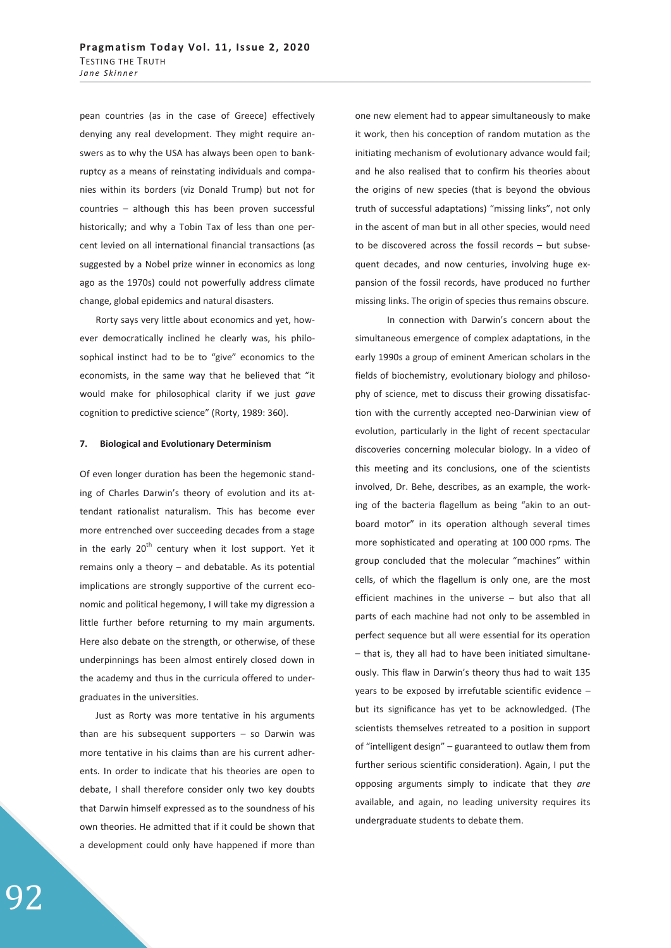pean countries (as in the case of Greece) effectively denying any real development. They might require answers as to why the USA has always been open to bankruptcy as a means of reinstating individuals and companies within its borders (viz Donald Trump) but not for countries – although this has been proven successful historically; and why a Tobin Tax of less than one percent levied on all international financial transactions (as suggested by a Nobel prize winner in economics as long ago as the 1970s) could not powerfully address climate change, global epidemics and natural disasters.

Rorty says very little about economics and yet, however democratically inclined he clearly was, his philosophical instinct had to be to "give" economics to the economists, in the same way that he believed that "it would make for philosophical clarity if we just *gave* cognition to predictive science" (Rorty, 1989: 360).

#### **7. Biological and Evolutionary Determinism**

Of even longer duration has been the hegemonic standing of Charles Darwin's theory of evolution and its attendant rationalist naturalism. This has become ever more entrenched over succeeding decades from a stage in the early  $20<sup>th</sup>$  century when it lost support. Yet it remains only a theory – and debatable. As its potential implications are strongly supportive of the current economic and political hegemony, I will take my digression a little further before returning to my main arguments. Here also debate on the strength, or otherwise, of these underpinnings has been almost entirely closed down in the academy and thus in the curricula offered to undergraduates in the universities.

Just as Rorty was more tentative in his arguments than are his subsequent supporters  $-$  so Darwin was more tentative in his claims than are his current adherents. In order to indicate that his theories are open to debate, I shall therefore consider only two key doubts that Darwin himself expressed as to the soundness of his own theories. He admitted that if it could be shown that a development could only have happened if more than one new element had to appear simultaneously to make it work, then his conception of random mutation as the initiating mechanism of evolutionary advance would fail; and he also realised that to confirm his theories about the origins of new species (that is beyond the obvious truth of successful adaptations) "missing links", not only in the ascent of man but in all other species, would need to be discovered across the fossil records – but subsequent decades, and now centuries, involving huge expansion of the fossil records, have produced no further missing links. The origin of species thus remains obscure.

 In connection with Darwin's concern about the simultaneous emergence of complex adaptations, in the early 1990s a group of eminent American scholars in the fields of biochemistry, evolutionary biology and philosophy of science, met to discuss their growing dissatisfaction with the currently accepted neo-Darwinian view of evolution, particularly in the light of recent spectacular discoveries concerning molecular biology. In a video of this meeting and its conclusions, one of the scientists involved, Dr. Behe, describes, as an example, the working of the bacteria flagellum as being "akin to an outboard motor" in its operation although several times more sophisticated and operating at 100 000 rpms. The group concluded that the molecular "machines" within cells, of which the flagellum is only one, are the most efficient machines in the universe – but also that all parts of each machine had not only to be assembled in perfect sequence but all were essential for its operation – that is, they all had to have been initiated simultaneously. This flaw in Darwin's theory thus had to wait 135 years to be exposed by irrefutable scientific evidence – but its significance has yet to be acknowledged. (The scientists themselves retreated to a position in support of "intelligent design" – guaranteed to outlaw them from further serious scientific consideration). Again, I put the opposing arguments simply to indicate that they *are* available, and again, no leading university requires its undergraduate students to debate them.

92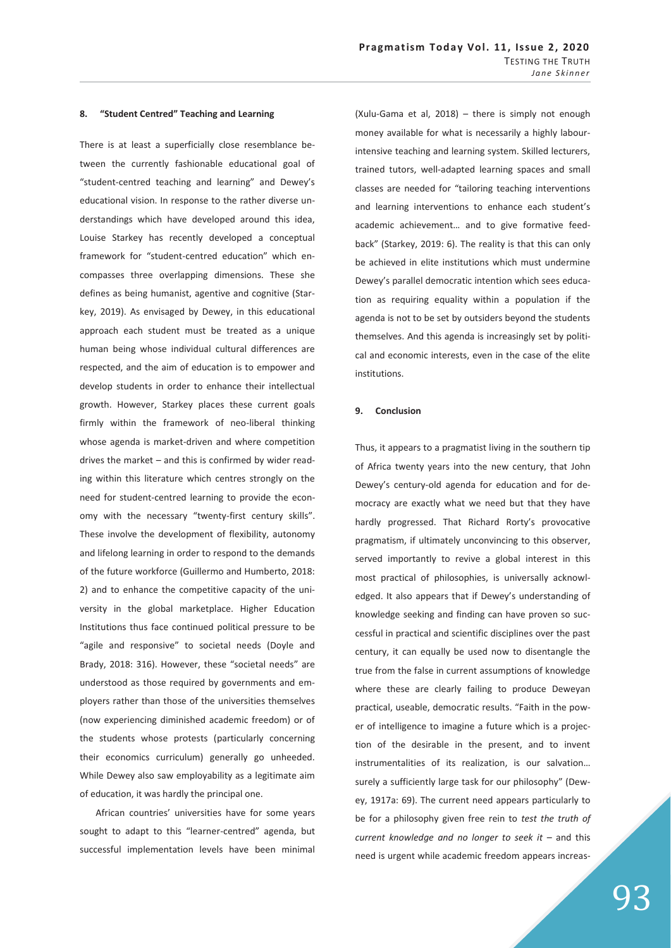#### **8. "Student Centred" Teaching and Learning**

There is at least a superficially close resemblance between the currently fashionable educational goal of "student-centred teaching and learning" and Dewey's educational vision. In response to the rather diverse understandings which have developed around this idea, Louise Starkey has recently developed a conceptual framework for "student-centred education" which encompasses three overlapping dimensions. These she defines as being humanist, agentive and cognitive (Starkey, 2019). As envisaged by Dewey, in this educational approach each student must be treated as a unique human being whose individual cultural differences are respected, and the aim of education is to empower and develop students in order to enhance their intellectual growth. However, Starkey places these current goals firmly within the framework of neo-liberal thinking whose agenda is market-driven and where competition drives the market – and this is confirmed by wider reading within this literature which centres strongly on the need for student-centred learning to provide the economy with the necessary "twenty-first century skills". These involve the development of flexibility, autonomy and lifelong learning in order to respond to the demands of the future workforce (Guillermo and Humberto, 2018: 2) and to enhance the competitive capacity of the university in the global marketplace. Higher Education Institutions thus face continued political pressure to be "agile and responsive" to societal needs (Doyle and Brady, 2018: 316). However, these "societal needs" are understood as those required by governments and employers rather than those of the universities themselves (now experiencing diminished academic freedom) or of the students whose protests (particularly concerning their economics curriculum) generally go unheeded. While Dewey also saw employability as a legitimate aim of education, it was hardly the principal one.

African countries' universities have for some years sought to adapt to this "learner-centred" agenda, but successful implementation levels have been minimal

(Xulu-Gama et al, 2018) – there is simply not enough money available for what is necessarily a highly labourintensive teaching and learning system. Skilled lecturers, trained tutors, well-adapted learning spaces and small classes are needed for "tailoring teaching interventions and learning interventions to enhance each student's academic achievement… and to give formative feedback" (Starkey, 2019: 6). The reality is that this can only be achieved in elite institutions which must undermine Dewey's parallel democratic intention which sees education as requiring equality within a population if the agenda is not to be set by outsiders beyond the students themselves. And this agenda is increasingly set by political and economic interests, even in the case of the elite institutions.

### **9. Conclusion**

Thus, it appears to a pragmatist living in the southern tip of Africa twenty years into the new century, that John Dewey's century-old agenda for education and for democracy are exactly what we need but that they have hardly progressed. That Richard Rorty's provocative pragmatism, if ultimately unconvincing to this observer, served importantly to revive a global interest in this most practical of philosophies, is universally acknowledged. It also appears that if Dewey's understanding of knowledge seeking and finding can have proven so successful in practical and scientific disciplines over the past century, it can equally be used now to disentangle the true from the false in current assumptions of knowledge where these are clearly failing to produce Deweyan practical, useable, democratic results. "Faith in the power of intelligence to imagine a future which is a projection of the desirable in the present, and to invent instrumentalities of its realization, is our salvation… surely a sufficiently large task for our philosophy" (Dewey, 1917a: 69). The current need appears particularly to be for a philosophy given free rein to *test the truth of current knowledge and no longer to seek it* – and this need is urgent while academic freedom appears increas